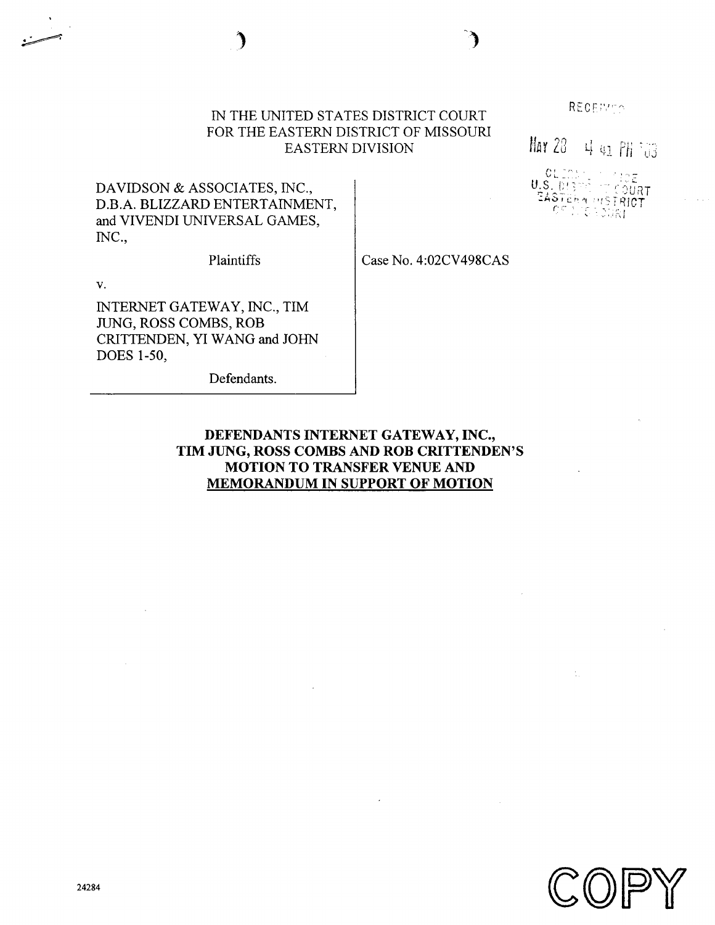# IN THE UNITED STATES DISTRICT COURT FOR THE EASTERN DISTRICT OF MISSOURI EASTERN DIVISION

RECEIVED.

Mar 20 4 91 PH 103

U.S. DIRMI<br>D.S. DIRMIQ ्राईशींमा EASTERN DI SIRICT

DAVIDSON & ASSOCIATES, INC., D.B .A. BLIZZARD ENTERTAINMENT, and VIVENDI UNIVERSAL GAMES, INC .,

Plaintiffs

Case No . 4 :02CV498CAS

V.

INTERNET GATEWAY, INC., TIM JUNG, ROSS COMBS, ROB CRITTENDEN, YI WANG and JOHN DOES 1-50,

Defendants.

# DEFENDANTS INTERNET GATEWAY, INC., TIM JUNG, ROSS COMBS AND ROB CRITTENDEN'S MOTION TO TRANSFER VENUE AND MEMORANDUM IN SUPPORT OF MOTION

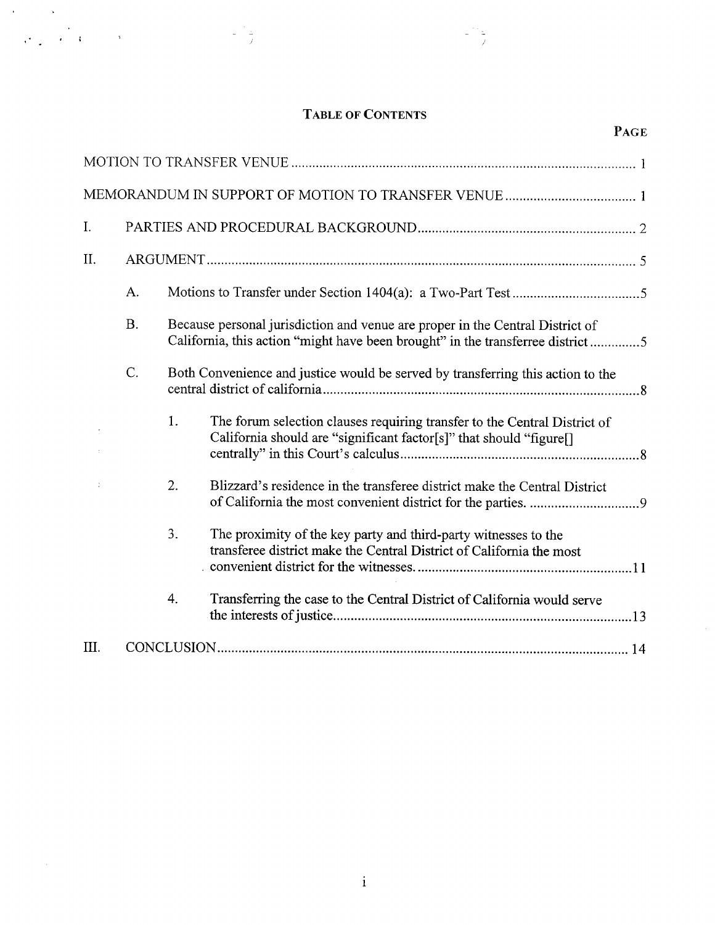# TABLE OF CONTENTS

 $\mathcal{A}^{\mathcal{A}}$ 

| $\label{eq:2.1} \frac{1}{\sqrt{2\pi}}\left(\frac{1}{\sqrt{2\pi}}\right)^{1/2}\frac{1}{\sqrt{2\pi}}\left(\frac{1}{\sqrt{2\pi}}\right)^{1/2}\frac{1}{\sqrt{2\pi}}\left(\frac{1}{\sqrt{2\pi}}\right)^{1/2}\frac{1}{\sqrt{2\pi}}\left(\frac{1}{\sqrt{2\pi}}\right)^{1/2}\frac{1}{\sqrt{2\pi}}\left(\frac{1}{\sqrt{2\pi}}\right)^{1/2}\frac{1}{\sqrt{2\pi}}\frac{1}{\sqrt{2\pi}}\frac{1}{\sqrt{2\pi}}\frac{1}{\sqrt{2\$ |           |    |  |                                                                                                                                                                 |      |
|--------------------------------------------------------------------------------------------------------------------------------------------------------------------------------------------------------------------------------------------------------------------------------------------------------------------------------------------------------------------------------------------------------------------|-----------|----|--|-----------------------------------------------------------------------------------------------------------------------------------------------------------------|------|
|                                                                                                                                                                                                                                                                                                                                                                                                                    |           |    |  | <b>TABLE OF CONTENTS</b>                                                                                                                                        | PAGE |
|                                                                                                                                                                                                                                                                                                                                                                                                                    |           |    |  |                                                                                                                                                                 |      |
|                                                                                                                                                                                                                                                                                                                                                                                                                    |           |    |  |                                                                                                                                                                 |      |
| $\mathbf{I}$ .                                                                                                                                                                                                                                                                                                                                                                                                     |           |    |  |                                                                                                                                                                 |      |
| II.                                                                                                                                                                                                                                                                                                                                                                                                                |           |    |  |                                                                                                                                                                 |      |
|                                                                                                                                                                                                                                                                                                                                                                                                                    | А.        |    |  |                                                                                                                                                                 |      |
|                                                                                                                                                                                                                                                                                                                                                                                                                    | <b>B.</b> |    |  | Because personal jurisdiction and venue are proper in the Central District of<br>California, this action "might have been brought" in the transferree district5 |      |
|                                                                                                                                                                                                                                                                                                                                                                                                                    | C.        |    |  | Both Convenience and justice would be served by transferring this action to the                                                                                 |      |
| ÷                                                                                                                                                                                                                                                                                                                                                                                                                  |           | 1. |  | The forum selection clauses requiring transfer to the Central District of<br>California should are "significant factor[s]" that should "figure[]                |      |
| ÷                                                                                                                                                                                                                                                                                                                                                                                                                  |           | 2. |  | Blizzard's residence in the transferee district make the Central District                                                                                       |      |
|                                                                                                                                                                                                                                                                                                                                                                                                                    |           | 3. |  | The proximity of the key party and third-party witnesses to the<br>transferee district make the Central District of California the most                         |      |
|                                                                                                                                                                                                                                                                                                                                                                                                                    |           | 4. |  | Transferring the case to the Central District of California would serve                                                                                         |      |
| III.                                                                                                                                                                                                                                                                                                                                                                                                               |           |    |  |                                                                                                                                                                 |      |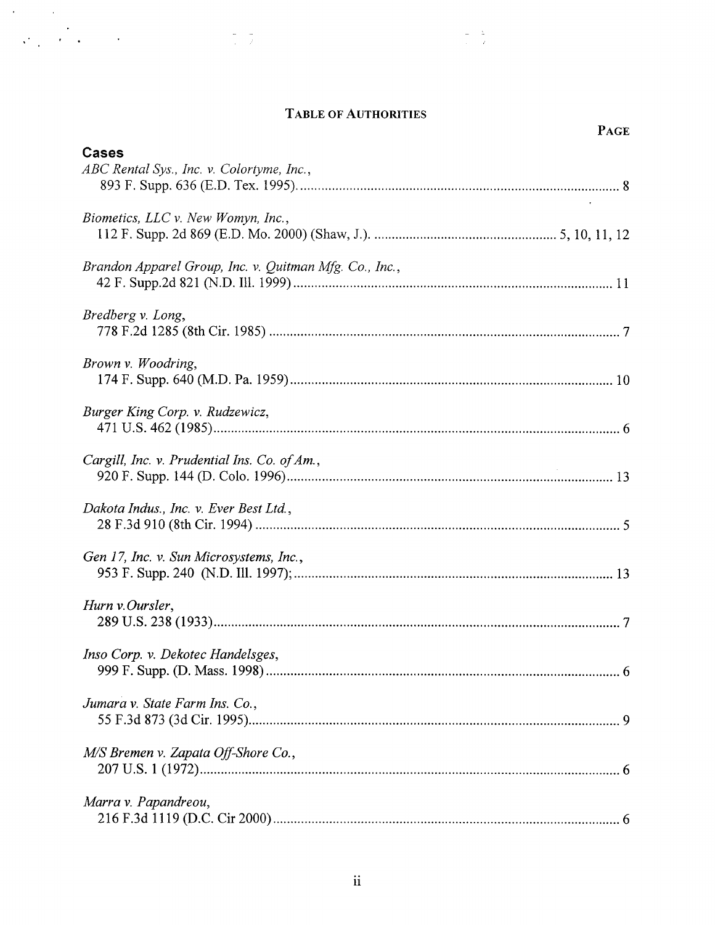# TABLE OF AUTHORITIES

| <b>TABLE OF AUTHORITIES</b>                               | <b>PAGE</b> |
|-----------------------------------------------------------|-------------|
| <b>Cases</b><br>ABC Rental Sys., Inc. v. Colortyme, Inc., |             |
| Biometics, LLC v. New Womyn, Inc.,                        |             |
| Brandon Apparel Group, Inc. v. Quitman Mfg. Co., Inc.,    |             |
| Bredberg v. Long,                                         |             |
| Brown v. Woodring,                                        |             |
| Burger King Corp. v. Rudzewicz,                           |             |
| Cargill, Inc. v. Prudential Ins. Co. of Am.,              |             |
| Dakota Indus., Inc. v. Ever Best Ltd.,                    |             |
| Gen 17, Inc. v. Sun Microsystems, Inc.,                   |             |
| Hurn v.Oursler,                                           |             |
| Inso Corp. v. Dekotec Handelsges,                         |             |
| Jumara v. State Farm Ins. Co.,                            |             |
| M/S Bremen v. Zapata Off-Shore Co.,                       |             |
| Marra v. Papandreou,                                      |             |
| $\ddot{\text{ii}}$                                        |             |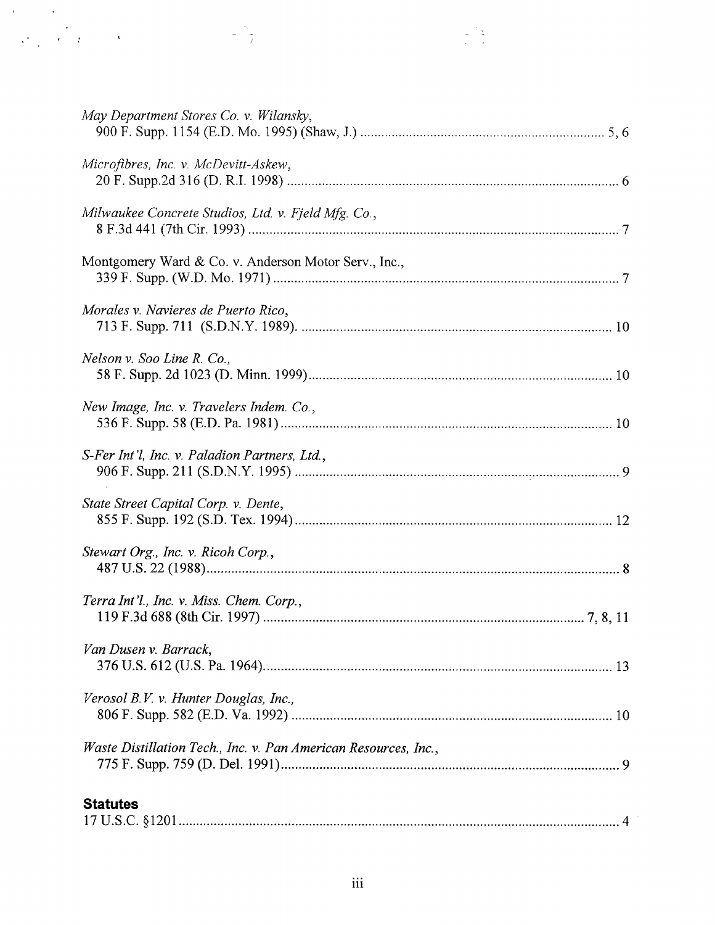| į.<br>$\mathcal{A}^{\text{max}}_{\text{max}}$ and $\mathcal{A}^{\text{max}}_{\text{max}}$ |  |
|-------------------------------------------------------------------------------------------|--|
|                                                                                           |  |
| May Department Stores Co. v. Wilansky,                                                    |  |
|                                                                                           |  |
| Microfibres, Inc. v. McDevitt-Askew,                                                      |  |
| Milwaukee Concrete Studios, Ltd. v. Fjeld Mfg. Co.,                                       |  |
| Montgomery Ward & Co. v. Anderson Motor Serv., Inc.,                                      |  |
| Morales v. Navieres de Puerto Rico,                                                       |  |
| Nelson v. Soo Line R. Co.,                                                                |  |
| New Image, Inc. v. Travelers Indem. Co.,                                                  |  |
| S-Fer Int'l, Inc. v. Paladion Partners, Ltd.,                                             |  |
| State Street Capital Corp. v. Dente,                                                      |  |
| Stewart Org., Inc. v. Ricoh Corp.,                                                        |  |
| Terra Int'l., Inc. v. Miss. Chem. Corp.,                                                  |  |
| Van Dusen v. Barrack,                                                                     |  |
| Verosol B.V. v. Hunter Douglas, Inc.,                                                     |  |
| Waste Distillation Tech., Inc. v. Pan American Resources, Inc.,                           |  |
| <b>Statutes</b>                                                                           |  |
|                                                                                           |  |
| iii                                                                                       |  |
|                                                                                           |  |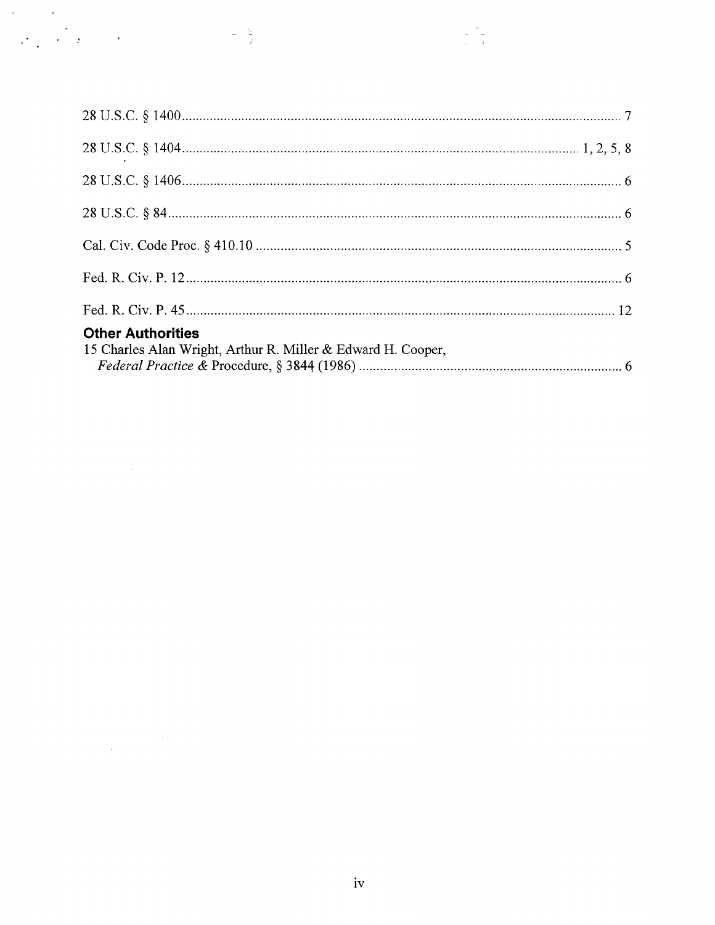| $\mathbf{y} = \mathbf{y} \times \mathbf{y}$ | $\frac{1}{2} \sum_{i=1}^{N}$                                 |  |
|---------------------------------------------|--------------------------------------------------------------|--|
|                                             |                                                              |  |
|                                             |                                                              |  |
|                                             |                                                              |  |
|                                             |                                                              |  |
|                                             |                                                              |  |
|                                             |                                                              |  |
|                                             |                                                              |  |
|                                             |                                                              |  |
| <b>Other Authorities</b>                    | 15 Charles Alan Wright, Arthur R. Miller & Edward H. Cooper, |  |
|                                             |                                                              |  |
|                                             |                                                              |  |
|                                             |                                                              |  |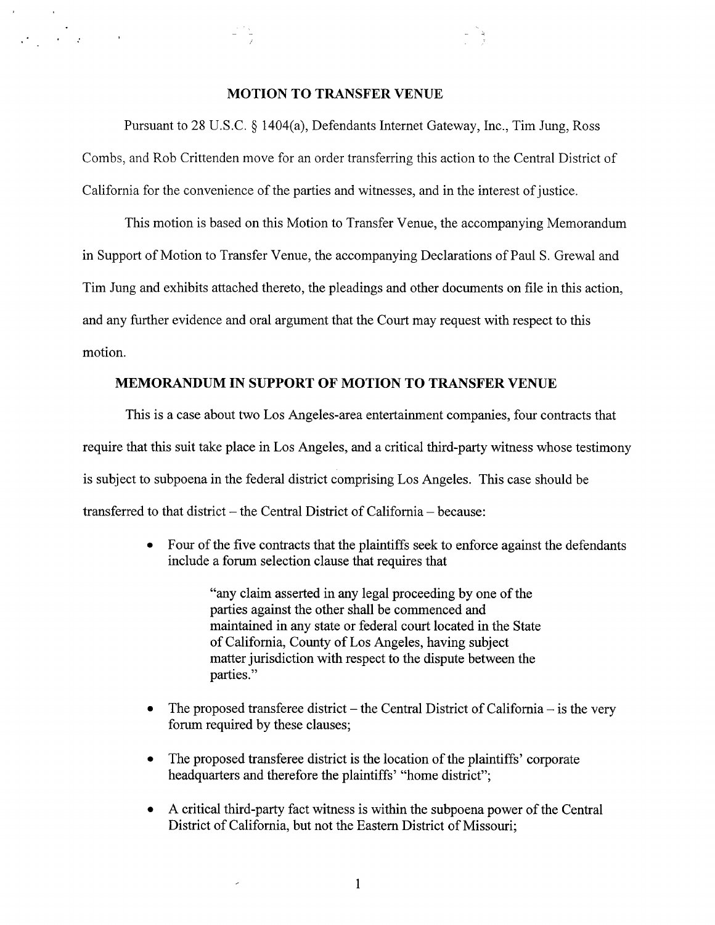# MOTION TO TRANSFER VENUE

 

Pursuant to 28 U.S.C. § 1404(a), Defendants Internet Gateway, Inc., Tim Jung, Ross Combs, and Rob Crittenden move for an order transferring this action to the Central District of California for the convenience of the parties and witnesses, and in the interest of justice .

This motion is based on this Motion to Transfer Venue, the accompanying Memorandum in Support of Motion to Transfer Venue, the accompanying Declarations of Paul S. Grewal and Tim Jung and exhibits attached thereto, the pleadings and other documents on file in this action, and any further evidence and oral argument that the Court may request with respect to this motion.

# MEMORANDUM IN SUPPORT OF MOTION TO TRANSFER VENUE

This is a case about two Los Angeles-area entertainment companies, four contracts that require that this suit take place in Los Angeles, and a critical third-party witness whose testimony is subject to subpoena in the federal district comprising Los Angeles . This case should be transferred to that district  $-$  the Central District of California  $-$  because:

> • Four of the five contracts that the plaintiffs seek to enforce against the defendants include a forum selection clause that requires that

> > "any claim asserted in any legal proceeding by one of the parties against the other shall be commenced and maintained in any state or federal court located in the State of California, County of Los Angeles, having subject matter jurisdiction with respect to the dispute between the parties."

- $\bullet$ The proposed transferee district  $-$  the Central District of California  $-$  is the very forum required by these clauses;
- $\bullet$ The proposed transferee district is the location of the plaintiffs' corporate headquarters and therefore the plaintiffs' "home district";
- A critical third-party fact witness is within the subpoena power of the Central District of California, but not the Eastern District of Missouri;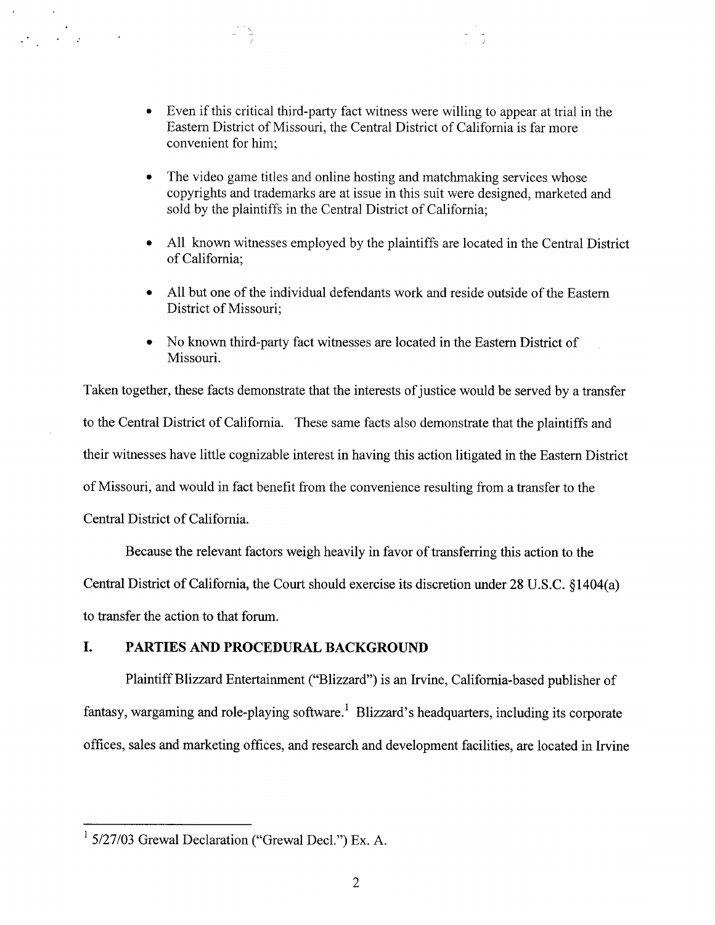- Even if this critical third-party fact witness were willing to appear at trial in the Eastern District of Missouri, the Central District of California is far more convenient for him;
- The video game titles and online hosting and matchmaking services whose copyrights and trademarks are at issue in this suit were designed, marketed and sold by the plaintiffs in the Central District of California;
- All known witnesses employed by the plaintiffs are located in the Central District of California;
- All but one of the individual defendants work and reside outside of the Eastern District of Missouri;
- No known third-party fact witnesses are located in the Eastern District of Missouri.

Taken together, these facts demonstrate that the interests of justice would be served by a transfer to the Central District of California. These same facts also demonstrate that the plaintiffs and their witnesses have little cognizable interest in having this action litigated in the Eastern District of Missouri, and would in fact benefit from the convenience resulting from a transfer to the Central District of California.

Because the relevant factors weigh heavily in favor of transferring this action to the Central District of California, the Court should exercise its discretion under 28 U.S.C. §1404(a) to transfer the action to that forum.

# I. PARTIES AND PROCEDURAL BACKGROUND

 

Plaintiff Blizzard Entertainment ("Blizzard") is an Irvine, California-based publisher of fantasy, wargaming and role-playing software.<sup>1</sup> Blizzard's headquarters, including its corporate offices, sales and marketing offices, and research and development facilities, are located in Irvine

 $1$  5/27/03 Grewal Declaration ("Grewal Decl.") Ex. A.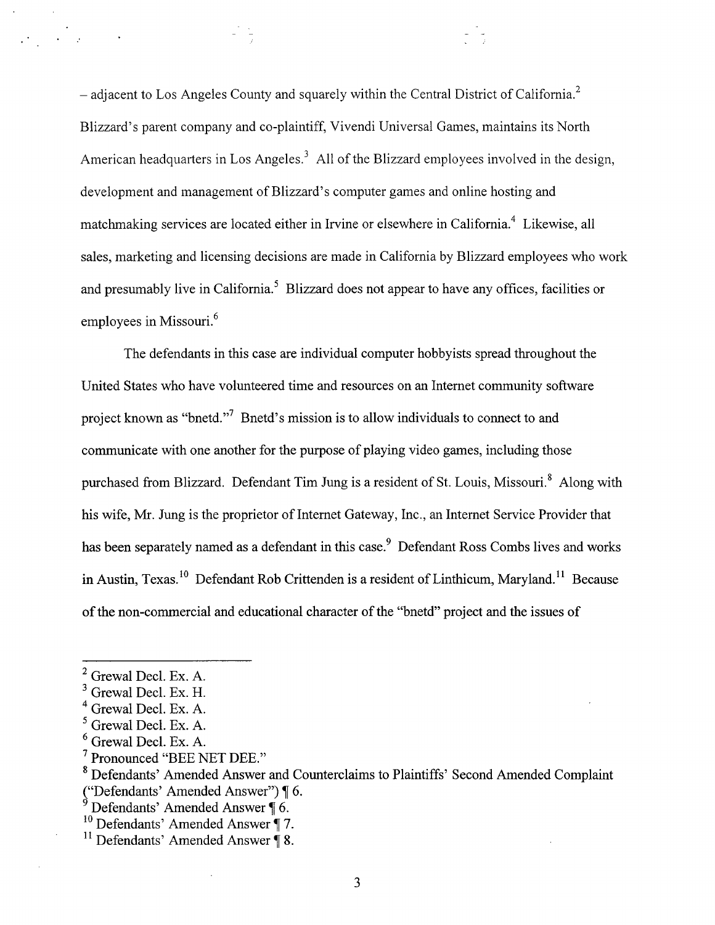- adjacent to Los Angeles County and squarely within the Central District of California.<sup>2</sup> Blizzard's parent company and co-plaintiff, Vivendi Universal Games, maintains its North American headquarters in Los Angeles.<sup>3</sup> All of the Blizzard employees involved in the design, development and management of Blizzard's computer games and online hosting and matchmaking services are located either in Irvine or elsewhere in California.<sup>4</sup> Likewise, all sales, marketing and licensing decisions are made in California by Blizzard employees who work and presumably live in California.<sup>5</sup> Blizzard does not appear to have any offices, facilities or employees in Missouri.<sup>6</sup>

The defendants in this case are individual computer hobbyists spread throughout the United States who have volunteered time and resources on an Internet community software project known as "bnetd."<sup>7</sup> Bnetd's mission is to allow individuals to connect to and communicate with one another for the purpose of playing video games, including those purchased from Blizzard. Defendant Tim Jung is a resident of St. Louis, Missouri.<sup>8</sup> Along with his wife, Mr . Jung is the proprietor of Internet Gateway, Inc ., an Internet Service Provider that has been separately named as a defendant in this case.<sup>9</sup> Defendant Ross Combs lives and works in Austin, Texas.<sup>10</sup> Defendant Rob Crittenden is a resident of Linthicum, Maryland.<sup>11</sup> Because of the non-commercial and educational character of the "bnetd" project and the issues of

 $\mathcal{L}^{\text{max}}_{\text{max}}$ 

 $2$  Grewal Decl. Ex. A.

 $3$  Grewal Decl. Ex. H.

<sup>&</sup>lt;sup>4</sup> Grewal Decl. Ex. A.

 $<sup>5</sup>$  Grewal Decl. Ex. A.</sup>

 $<sup>6</sup>$  Grewal Decl. Ex. A.</sup>

<sup>7</sup> Pronounced "BEE NET DEE ."

<sup>8</sup> Defendants' Amended Answer and Counterclaims to Plaintiffs' Second Amended Complaint ("Defendants' Amended Answer") ¶ 6 .

 $9$  Defendants' Amended Answer  $\oint$  6.

 $10^{10}$  Defendants' Amended Answer | 7.

<sup>&</sup>lt;sup>11</sup> Defendants' Amended Answer  $\overline{\P}$  8.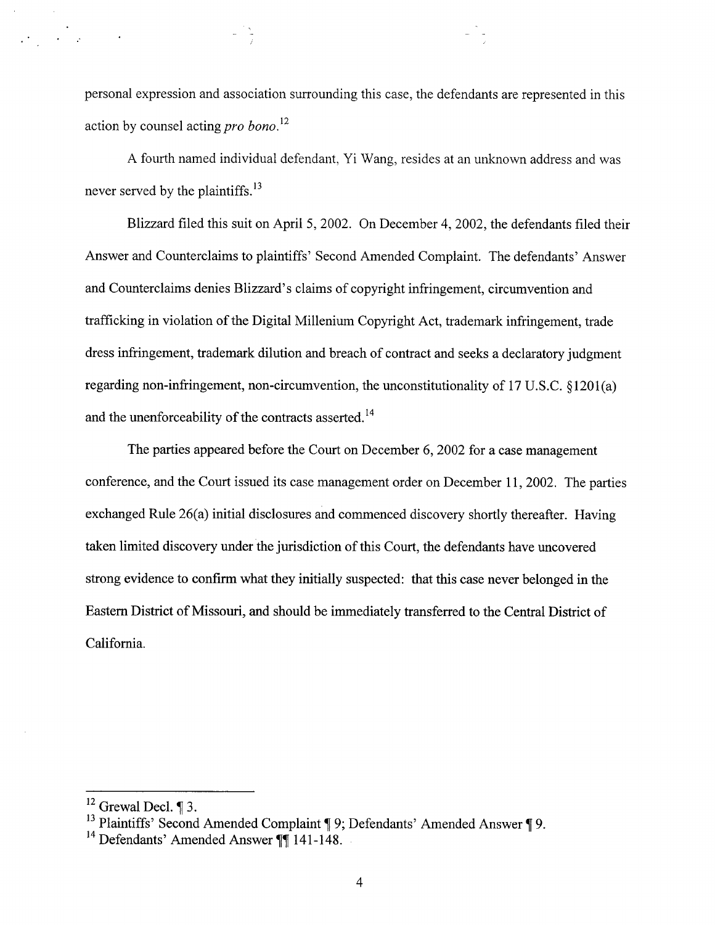personal expression and association surrounding this case, the defendants are represented in this action by counsel acting *pro bono*.<sup>12</sup>

A fourth named individual defendant, Yi Wang, resides at an unknown address and was never served by the plaintiffs.<sup>13</sup>

Blizzard filed this suit on April 5, 2002. On December 4, 2002, the defendants filed their Answer and Counterclaims to plaintiffs' Second Amended Complaint. The defendants' Answer and Counterclaims denies Blizzard's claims of copyright infringement, circumvention and trafficking in violation of the Digital Millenium Copyright Act, trademark infringement, trade dress infringement, trademark dilution and breach of contract and seeks a declaratory judgment regarding non-infringement, non-circumvention, the unconstitutionality of 17 U.S.C.  $\{1201(a)$ and the unenforceability of the contracts asserted.<sup>14</sup>

The parties appeared before the Court on December 6, 2002 for a case management conference, and the Court issued its case management order on December 11, 2002. The parties exchanged Rule 26(a) initial disclosures and commenced discovery shortly thereafter. Having taken limited discovery under the jurisdiction of this Court, the defendants have uncovered strong evidence to confirm what they initially suspected: that this case never belonged in the Eastern District of Missouri, and should be immediately transferred to the Central District of California.

 $\mathcal{L}_{\mathcal{L}} = \frac{1}{2} \sum_{i=1}^n \mathcal{L}_{\mathcal{L}} \left( \mathcal{L}_{\mathcal{L}} \right)$ 

 $\frac{12}{12}$  Grewal Decl. ¶ 3.

<sup>&</sup>lt;sup>13</sup> Plaintiffs' Second Amended Complaint  $\P$ 9; Defendants' Amended Answer  $\P$ 9.

<sup>&</sup>lt;sup>14</sup> Defendants' Amended Answer  $\P$  $141$ -148.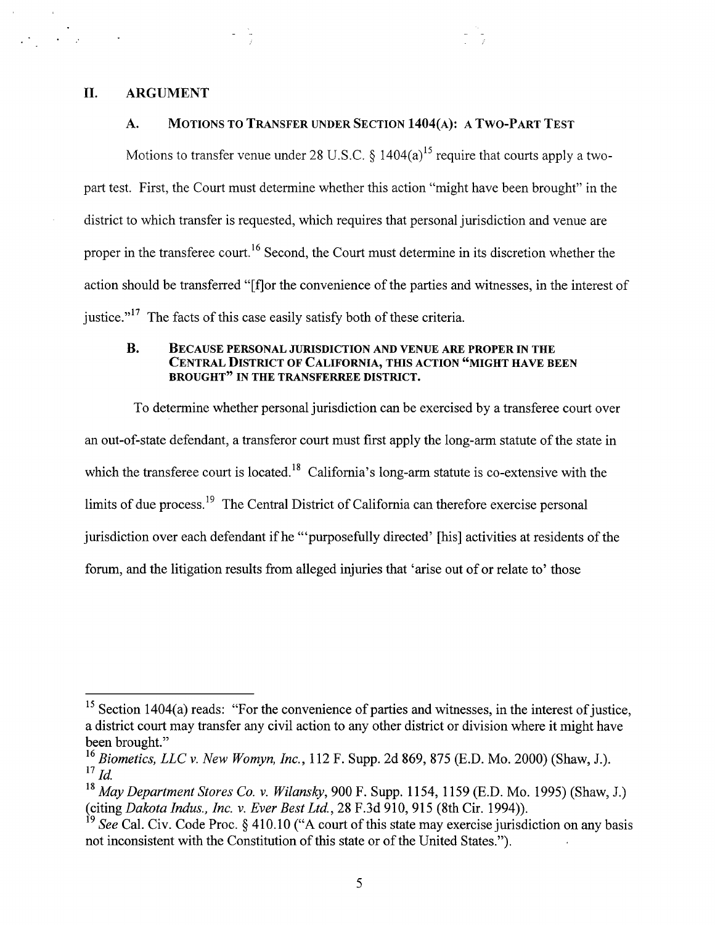## II. ARGUMENT

 

#### A. MOTIONS TO TRANSFER UNDER SECTION 1404(A): A TWO-PART TEST

Motions to transfer venue under 28 U.S.C.  $\delta$  1404(a)<sup>15</sup> require that courts apply a twopart test. First, the Court must determine whether this action "might have been brought" in the district to which transfer is requested, which requires that personal jurisdiction and venue are proper in the transferee court.<sup>16</sup> Second, the Court must determine in its discretion whether the action should be transferred "[f]or the convenience of the parties and witnesses, in the interest of justice."<sup>1</sup> The facts of this case easily satisfy both of these criteria.

#### B. BECAUSE PERSONAL JURISDICTION AND VENUE ARE PROPER IN THE CENTRAL DISTRICT OF CALIFORNIA, THIS ACTION "MIGHT HAVE BEEN BROUGHT" IN THE TRANSFERREE DISTRICT.

To determine whether personal jurisdiction can be exercised by a transferee court over an out-of-state defendant, a transferor court must first apply the long-arm statute of the state in which the transferee court is located.<sup>18</sup> California's long-arm statute is co-extensive with the limits of due process.<sup>19</sup> The Central District of California can therefore exercise personal jurisdiction over each defendant if he "'purposefully directed' [his] activities at residents of the forum, and the litigation results from alleged injuries that `arise out of or relate to' those

 $15$  Section 1404(a) reads: "For the convenience of parties and witnesses, in the interest of justice, a district court may transfer any civil action to any other district or division where it might have been brought."

<sup>&</sup>lt;sup>16</sup> Biometics, LLC v. New Womyn, Inc., 112 F. Supp. 2d 869, 875 (E.D. Mo. 2000) (Shaw, J.).  $17$  *Id.* 

<sup>&</sup>lt;sup>18</sup> May Department Stores Co. v. Wilansky, 900 F. Supp. 1154, 1159 (E.D. Mo. 1995) (Shaw, J.) (citing Dakota Indus., Inc. v. Ever Best Ltd.,  $28$  F.3d 910, 915 (8th Cir. 1994)).

 $19$  See Cal. Civ. Code Proc. § 410.10 ("A court of this state may exercise jurisdiction on any basis not inconsistent with the Constitution of this state or of the United States.").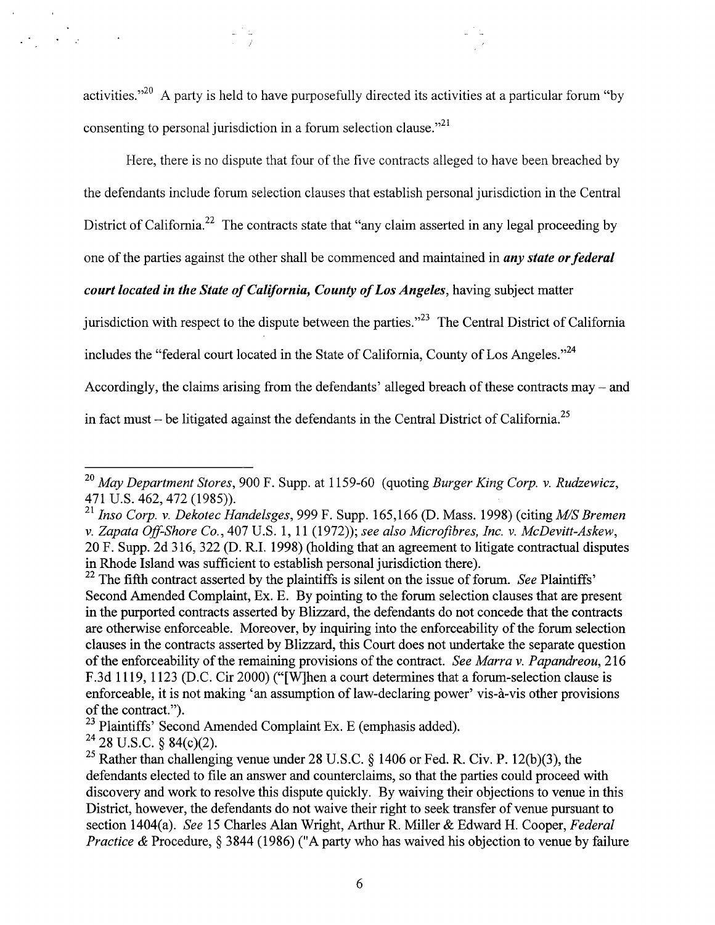activities."<sup>20</sup> A party is held to have purposefully directed its activities at a particular forum "by consenting to personal jurisdiction in a forum selection clause." $^{21}$ 

Here, there is no dispute that four of the five contracts alleged to have been breached by the defendants include forum selection clauses that establish personal jurisdiction in the Central District of California.<sup>22</sup> The contracts state that "any claim asserted in any legal proceeding by one of the parties against the other shall be commenced and maintained in *any state or federal* court located in the State of California, County of Los Angeles, having subject matter jurisdiction with respect to the dispute between the parties.<sup> $2^{2}$ </sup> The Central District of California includes the "federal court located in the State of California, County of Los Angeles."<sup>24</sup> Accordingly, the claims arising from the defendants' alleged breach of these contracts may - and in fact must – be litigated against the defendants in the Central District of California.<sup>25</sup>

 $\mathcal{A}=\mathcal{A}$ 

 $^{20}$  May Department Stores, 900 F. Supp. at 1159-60 (quoting Burger King Corp. v. Rudzewicz, 471 U.S. 462, 472 (1985)) .

<sup>&</sup>lt;sup>21</sup> Inso Corp. v. Dekotec Handelsges, 999 F. Supp. 165,166 (D. Mass. 1998) (citing  $M/S$  Bremen v. Zapata Off-Shore Co., 407 U.S. 1, 11 (1972)); see also Microfibres, Inc. v. McDevitt-Askew, 20 F. Supp. 2d 316, 322 (D . R .I . 1998) (holding that an agreement to litigate contractual disputes in Rhode Island was sufficient to establish personal jurisdiction there) .

 $^{22}$  The fifth contract asserted by the plaintiffs is silent on the issue of forum. See Plaintiffs' Second Amended Complaint, Ex. E. By pointing to the forum selection clauses that are present in the purported contracts asserted by Blizzard, the defendants do not concede that the contracts are otherwise enforceable. Moreover, by inquiring into the enforceability of the forum selection clauses in the contracts asserted by Blizzard, this Court does not undertake the separate question of the enforceability of the remaining provisions of the contract. See Marra v. Papandreou, 216 F.3d 1119, 1123 (D.C. Cir 2000) ("[W]hen a court determines that a forum-selection clause is enforceable, it is not making 'an assumption of law-declaring power' vis-à-vis other provisions of the contract.").

<sup>&</sup>lt;sup>23</sup> Plaintiffs' Second Amended Complaint Ex. E (emphasis added).

 $24$  28 U.S.C. § 84(c)(2).

<sup>&</sup>lt;sup>25</sup> Rather than challenging venue under 28 U.S.C. § 1406 or Fed. R. Civ. P. 12(b)(3), the defendants elected to file an answer and counterclaims, so that the parties could proceed with discovery and work to resolve this dispute quickly. By waiving their objections to venue in this District, however, the defendants do not waive their right to seek transfer of venue pursuant to section 1404(a). See 15 Charles Alan Wright, Arthur R. Miller & Edward H. Cooper, Federal *Practice &* Procedure,  $\S$  3844 (1986) ("A party who has waived his objection to venue by failure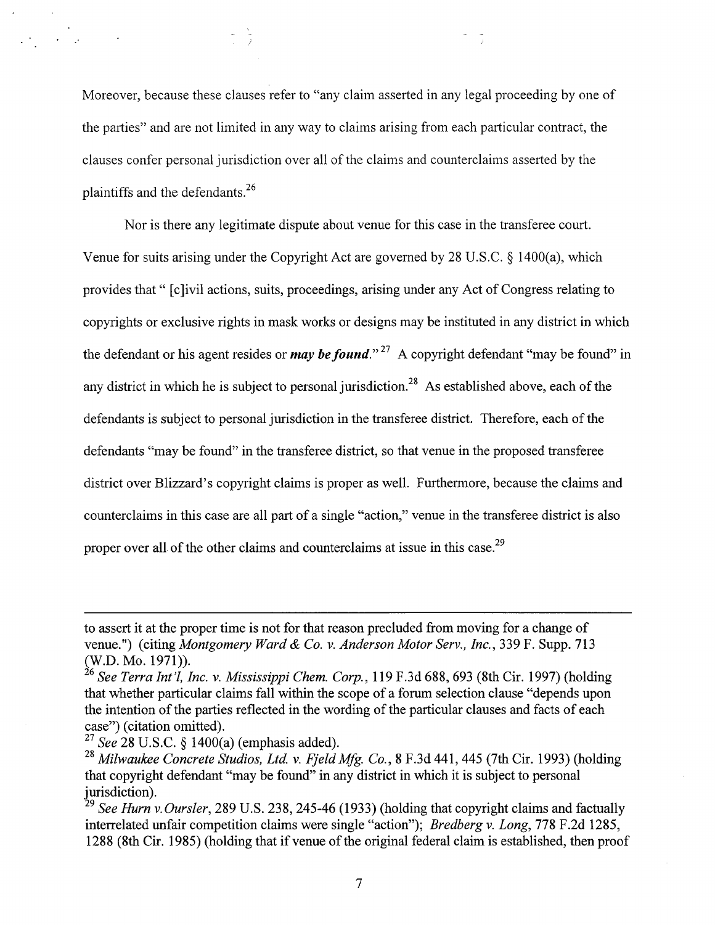Moreover, because these clauses refer to "any claim asserted in any legal proceeding by one of the parties" and are not limited in any way to claims arising from each particular contract, the clauses confer personal jurisdiction over all of the claims and counterclaims asserted by the plaintiffs and the defendants.<sup>26</sup>

Nor is there any legitimate dispute about venue for this case in the transferee court. Venue for suits arising under the Copyright Act are governed by 28 U.S.C. § 1400(a), which provides that " [c]ivil actions, suits, proceedings, arising under any Act of Congress relating to copyrights or exclusive rights in mask works or designs may be instituted in any district in which the defendant or his agent resides or *may be found*."<sup>27</sup> A copyright defendant "may be found" in any district in which he is subject to personal jurisdiction.<sup>28</sup> As established above, each of the defendants is subject to personal jurisdiction in the transferee district. Therefore, each of the defendants "may be found" in the transferee district, so that venue in the proposed transferee district over Blizzard's copyright claims is proper as well . Furthermore, because the claims and counterclaims in this case are all part of a single "action," venue in the transferee district is also proper over all of the other claims and counterclaims at issue in this case.<sup>29</sup>

to assert it at the proper time is not for that reason precluded from moving for a change of venue.") (citing *Montgomery Ward & Co. v. Anderson Motor Serv., Inc.*, 339 F. Supp. 713 (W.D. Mo. 1971)).

 $^{26}$  See Terra Int'l, Inc. v. Mississippi Chem. Corp., 119 F.3d 688, 693 (8th Cir. 1997) (holding that whether particular claims fall within the scope of a forum selection clause "depends upon the intention of the parties reflected in the wording of the particular clauses and facts of each case") (citation omitted) .

 $\frac{27}{3}$  See 28 U.S.C. § 1400(a) (emphasis added).

<sup>&</sup>lt;sup>28</sup> Milwaukee Concrete Studios, Ltd. v. Fjeld Mfg. Co., 8 F.3d 441, 445 (7th Cir. 1993) (holding that copyright defendant "may be found" in any district in which it is subject to personal jurisdiction).

<sup>&</sup>lt;sup>29</sup> See Hurn v Oursler, 289 U.S. 238, 245-46 (1933) (holding that copyright claims and factually interrelated unfair competition claims were single "action"); Bredberg v. Long, 778 F.2d 1285, 1288 (8th Cir . 1985) (holding that if venue of the original federal claim is established, then proof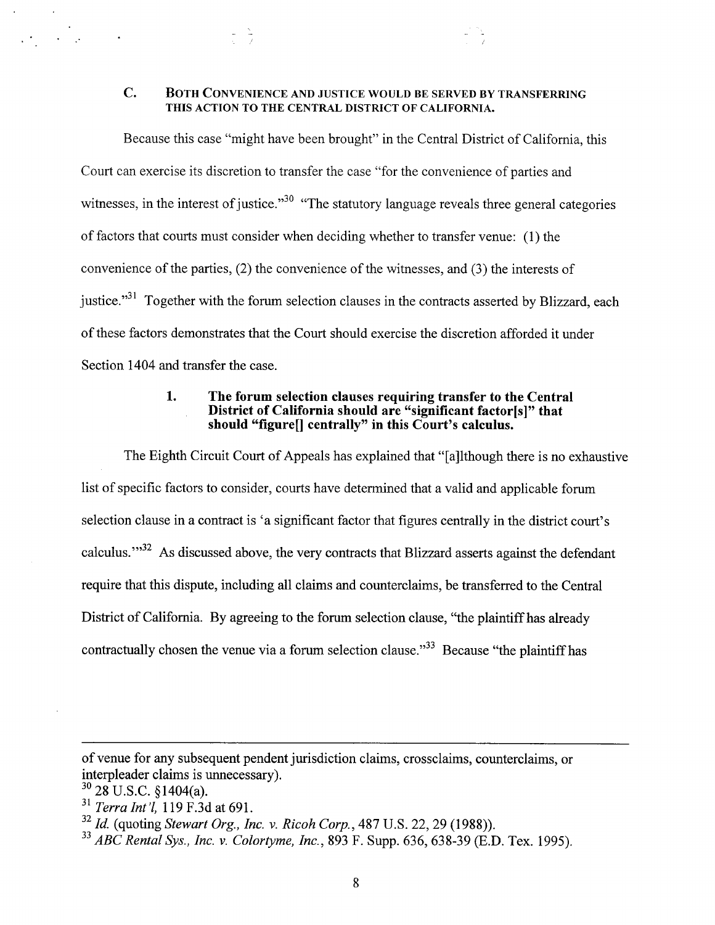# C. BOTH CONVENIENCE AND JUSTICE WOULD BE SERVED BY TRANSFERRING THIS ACTION TO THE CENTRAL DISTRICT OF CALIFORNIA.

Because this case "might have been brought" in the Central District of California, this Court can exercise its discretion to transfer the case "for the convenience of parties and witnesses, in the interest of justice.<sup>30</sup> "The statutory language reveals three general categories of factors that courts must consider when deciding whether to transfer venue : (1) the convenience of the parties, (2) the convenience of the witnesses, and (3) the interests of justice."<sup>31</sup> Together with the forum selection clauses in the contracts asserted by Blizzard, each of these factors demonstrates that the Court should exercise the discretion afforded it under Section 1404 and transfer the case.

#### 1 . The forum selection clauses requiring transfer to the Central District of California should are "significant factor[s]" that should "figure[] centrally" in this Court's calculus.

The Eighth Circuit Court of Appeals has explained that "[a]lthough there is no exhaustive list of specific factors to consider, courts have determined that a valid and applicable forum selection clause in a contract is 'a significant factor that figures centrally in the district court's calculus."<sup>32</sup> As discussed above, the very contracts that Blizzard asserts against the defendan require that this dispute, including all claims and counterclaims, be transferred to the Central District of California. By agreeing to the forum selection clause, "the plaintiff has already contractually chosen the venue via a forum selection clause."<sup>33</sup> Because "the plaintiff has

of venue for any subsequent pendent jurisdiction claims, crossclaims, counterclaims, or interpleader claims is unnecessary) .

 $30$  28 U.S.C. §1404(a).

 $31$  Terra Int'l, 119 F.3d at 691.

 $32$  Id. (quoting Stewart Org., Inc. v. Ricoh Corp., 487 U.S. 22, 29 (1988)).

 $33$  ABC Rental Sys., Inc. v. Colortyme, Inc., 893 F. Supp. 636, 638-39 (E.D. Tex. 1995).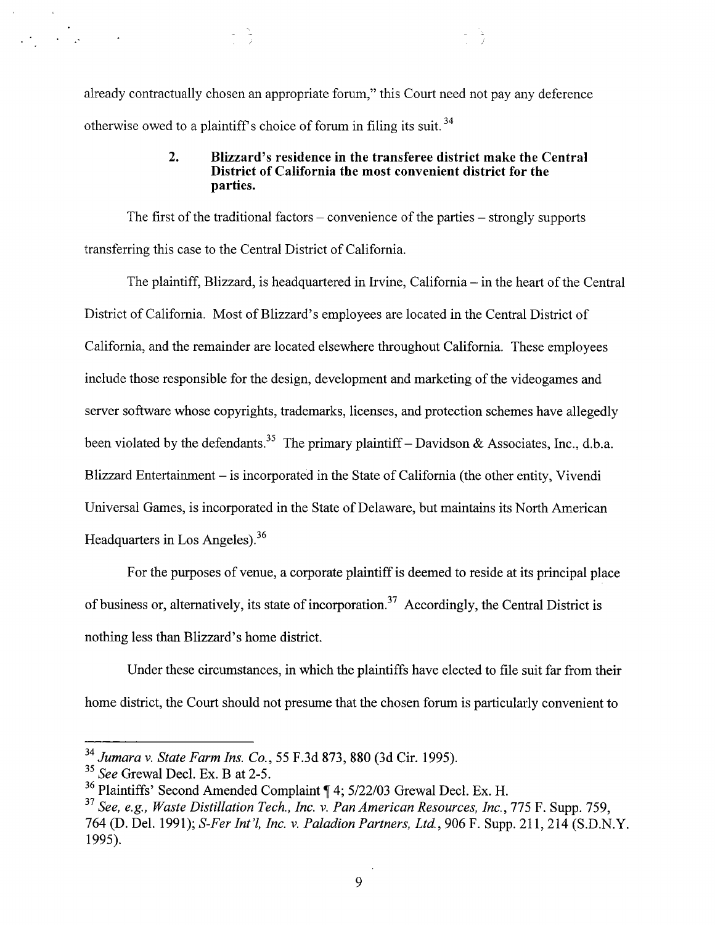already contractually chosen an appropriate forum," this Court need not pay any deference otherwise owed to a plaintiff's choice of forum in filing its suit.<sup>34</sup> 

#### 2. Blizzard's residence in the transferee district make the Central District of California the most convenient district for the parties.

The first of the traditional factors – convenience of the parties – strongly supports transferring this case to the Central District of California .

The plaintiff, Blizzard, is headquartered in Irvine, California – in the heart of the Central District of California. Most of Blizzard's employees are located in the Central District of California, and the remainder are located elsewhere throughout California . These employees include those responsible for the design, development and marketing of the videogames and server software whose copyrights, trademarks, licenses, and protection schemes have allegedly been violated by the defendants.<sup>35</sup> The primary plaintiff - Davidson & Associates, Inc., d.b.a. Blizzard Entertainment – is incorporated in the State of California (the other entity, Vivendi Universal Games, is incorporated in the State of Delaware, but maintains its North American Headquarters in Los Angeles).<sup>36</sup>

For the purposes of venue, a corporate plaintiff is deemed to reside at its principal place of business or, alternatively, its state of incorporation.<sup>37</sup> Accordingly, the Central District is nothing less than Blizzard's home district.

Under these circumstances, in which the plaintiffs have elected to file suit far from their home district, the Court should not presume that the chosen forum is particularly convenient to

 $^{34}$  Jumara v. State Farm Ins. Co., 55 F.3d 873, 880 (3d Cir. 1995).

 $\frac{35}{35}$  See Grewal Decl. Ex. B at 2-5.

<sup>&</sup>lt;sup>36</sup> Plaintiffs' Second Amended Complaint  $\parallel$  4; 5/22/03 Grewal Decl. Ex. H.

 $37$  See, e.g., Waste Distillation Tech., Inc. v. Pan American Resources, Inc., 775 F. Supp. 759, 764 (D. Del. 1991); S-Fer Int'l, Inc. v. Paladion Partners, Ltd., 906 F. Supp. 211, 214 (S.D.N.Y. 1995).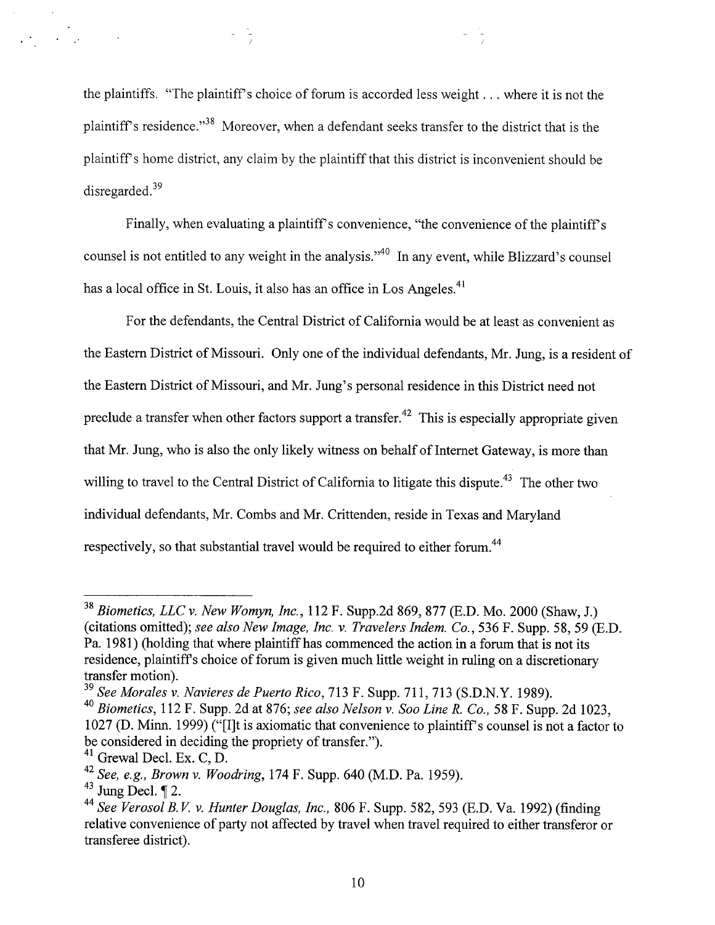the plaintiffs. "The plaintiff's choice of forum is accorded less weight  $\dots$  where it is not the plaintiff's residence."<sup>38</sup> Moreover, when a defendant seeks transfer to the district that is the plaintiff's home district, any claim by the plaintiff that this district is inconvenient should be disregarded. $39$ 

Finally, when evaluating a plaintiff's convenience, "the convenience of the plaintiff's counsel is not entitled to any weight in the analysis."<sup>40</sup> In any event, while Blizzard's counsel has a local office in St. Louis, it also has an office in Los Angeles.<sup>41</sup>

For the defendants, the Central District of California would be at least as convenient as the Eastern District of Missouri. Only one of the individual defendants, Mr. Jung, is a resident of the Eastern District of Missouri, and Mr. Jung's personal residence in this District need not preclude a transfer when other factors support a transfer.<sup>42</sup> This is especially appropriate given that Mr. Jung, who is also the only likely witness on behalf of Internet Gateway, is more than willing to travel to the Central District of California to litigate this dispute.<sup>43</sup> The other two individual defendants, Mr. Combs and Mr. Crittenden, reside in Texas and Maryland respectively, so that substantial travel would be required to either forum.<sup>44</sup>

 $\mathcal{A}=\mathcal{A}$ 

 $38$  Biometics, LLC v. New Womyn, Inc., 112 F. Supp.2d 869, 877 (E.D. Mo. 2000 (Shaw, J.) (citations omitted); see also New Image, Inc. v. Travelers Indem. Co., 536 F. Supp. 58, 59 (E.D.) Pa. 1981) (holding that where plaintiff has commenced the action in a forum that is not its residence, plaintiffs choice of forum is given much little weight in ruling on a discretionary transfer motion).

 $39$  See Morales v. Navieres de Puerto Rico, 713 F. Supp. 711, 713 (S.D.N.Y. 1989).

 $^{40}$  Biometics, 112 F. Supp. 2d at 876; see also Nelson v. Soo Line R. Co., 58 F. Supp. 2d 1023, 1027 (D. Minn. 1999) ("[I]t is axiomatic that convenience to plaintiff's counsel is not a factor to be considered in deciding the propriety of transfer.").

 $41$  Grewal Decl. Ex. C, D.

<sup>&</sup>lt;sup>42</sup> See, e.g., Brown v. Woodring, 174 F. Supp. 640 (M.D. Pa. 1959).

 $43$  Jung Decl.  $\P$  2.

<sup>&</sup>lt;sup>44</sup> See Verosol B.V. v. Hunter Douglas, Inc., 806 F. Supp. 582, 593 (E.D. Va. 1992) (finding relative convenience of party not affected by travel when travel required to either transferor or transferee district).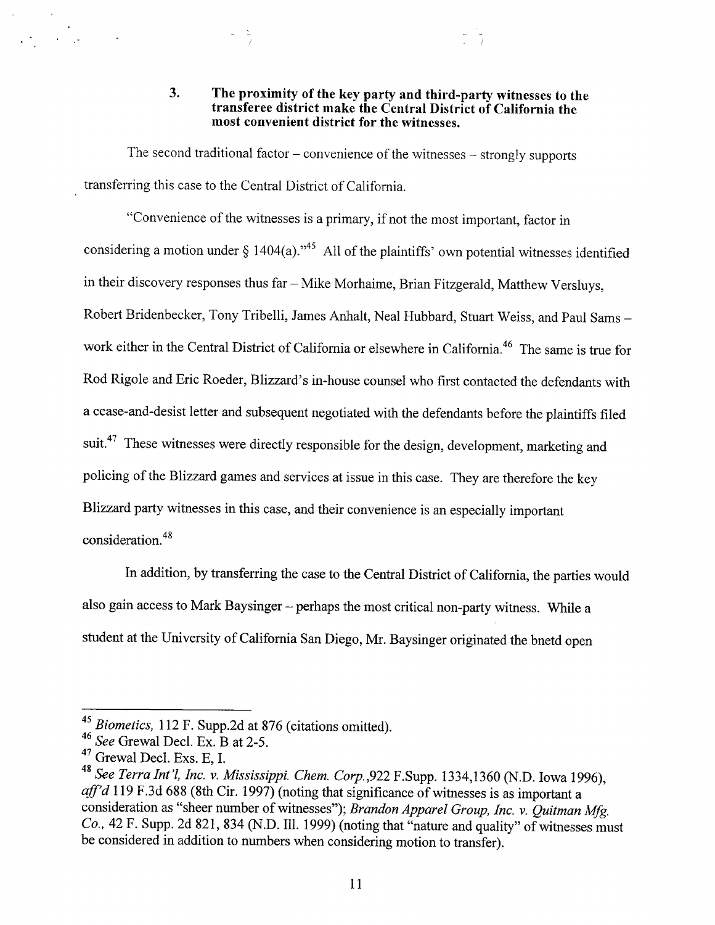3. The proximity of the key party and third-party witnesses to the transferee district make the Central District of California the most convenient district for the witnesses .

The second traditional factor  $-$  convenience of the witnesses  $-$  strongly supports transferring this case to the Central District of California .

"Convenience of the witnesses is a primary, if not the most important, factor in considering a motion under  $\S$  1404(a).<sup>145</sup> All of the plaintiffs' own potential witnesses identified in their discovery responses thus far - Mike Morhaime, Brian Fitzgerald, Matthew Versluys, Robert Bridenbecker, Tony Tribelli, James Anhalt, Neal Hubbard, Stuart Weiss, and Paul Sams work either in the Central District of California or elsewhere in California.<sup>46</sup> The same is true for Rod Rigole and Eric Roeder, Blizzard's in-house counsel who first contacted the defendants with a cease-and-desist letter and subsequent negotiated with the defendants before the plaintiffs filed suit.<sup>47</sup> These witnesses were directly responsible for the design, development, marketing and policing of the Blizzard games and services at issue in this case. They are therefore the key Blizzard party witnesses in this case, and their convenience is an especially important consideration . 48

In addition, by transferring the case to the Central District of California, the parties would also gain access to Mark Baysinger - perhaps the most critical non-party witness. While a student at the University of California San Diego, Mr. Baysinger originated the bnetd open

<sup>&</sup>lt;sup>45</sup> Biometics, 112 F. Supp.2d at 876 (citations omitted).

 $^{46}$  See Grewal Decl. Ex. B at 2-5.

 $^{47}$  Grewal Decl. Exs. E, I.

<sup>&</sup>lt;sup>48</sup> See Terra Int'l, Inc. v. Mississippi. Chem. Corp., 922 F. Supp. 1334, 1360 (N.D. Iowa 1996), aff'd 119 F.3d 688 (8th Cir. 1997) (noting that significance of witnesses is as important a consideration as "sheer number of witnesses"); Brandon Apparel Group, Inc. v. Quitman Mfg. Co., 42 F. Supp. 2d 821, 834 (N.D. Ill. 1999) (noting that "nature and quality" of witnesses must be considered in addition to numbers when considering motion to transfer) .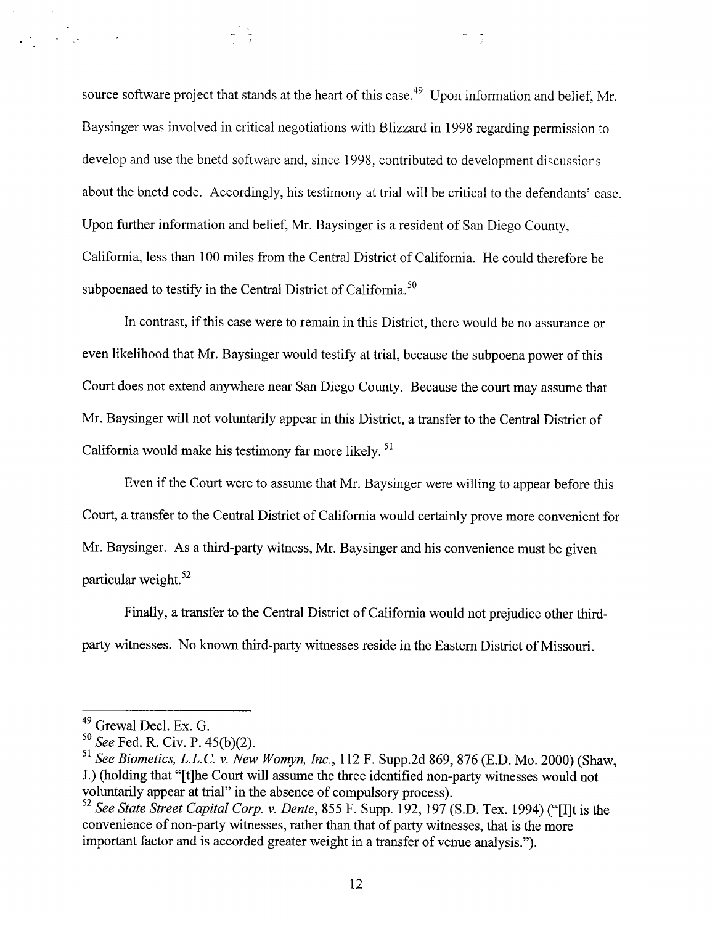source software project that stands at the heart of this case.<sup>49</sup> Upon information and belief, Mr. Baysinger was involved in critical negotiations with Blizzard in 1998 regarding permission to develop and use the bnetd software and, since 1998, contributed to development discussions about the bnetd code. Accordingly, his testimony at trial will be critical to the defendants' case. Upon further information and belief, Mr . Baysinger is a resident of San Diego County, California, less than 100 miles from the Central District of California . He could therefore be subpoenaed to testify in the Central District of California.<sup>30</sup>

In contrast, if this case were to remain in this District, there would be no assurance or even likelihood that Mr. Baysinger would testify at trial, because the subpoena power of this Court does not extend anywhere near San Diego County. Because the court may assume that Mr. Baysinger will not voluntarily appear in this District, a transfer to the Central District of California would make his testimony far more likely.<sup>31</sup>

Even if the Court were to assume that Mr . Baysinger were willing to appear before this Court, a transfer to the Central District of California would certainly prove more convenient for Mr. Baysinger. As a third-party witness, Mr. Baysinger and his convenience must be given particular weight. 52

Finally, a transfer to the Central District of California would not prejudice other thirdparty witnesses . No known third-party witnesses reside in the Eastern District of Missouri .

 $\mathcal{L}_{\text{max}}$  , and  $\mathcal{L}_{\text{max}}$ 

<sup>&</sup>lt;sup>49</sup> Grewal Decl. Ex. G.

 $\frac{50}{11}$  See Fed. R. Civ. P. 45(b)(2).

 $^{51}$  See Biometics, L.L.C. v. New Womyn, Inc., 112 F. Supp.2d 869, 876 (E.D. Mo. 2000) (Shaw, J.) (holding that "[t]he Court will assume the three identified non-party witnesses would not voluntarily appear at trial" in the absence of compulsory process) .

<sup>&</sup>lt;sup>52</sup> See State Street Capital Corp. v. Dente, 855 F. Supp. 192, 197 (S.D. Tex. 1994) ("[I]t is the convenience of non-party witnesses, rather than that of party witnesses, that is the more important factor and is accorded greater weight in a transfer of venue analysis .") .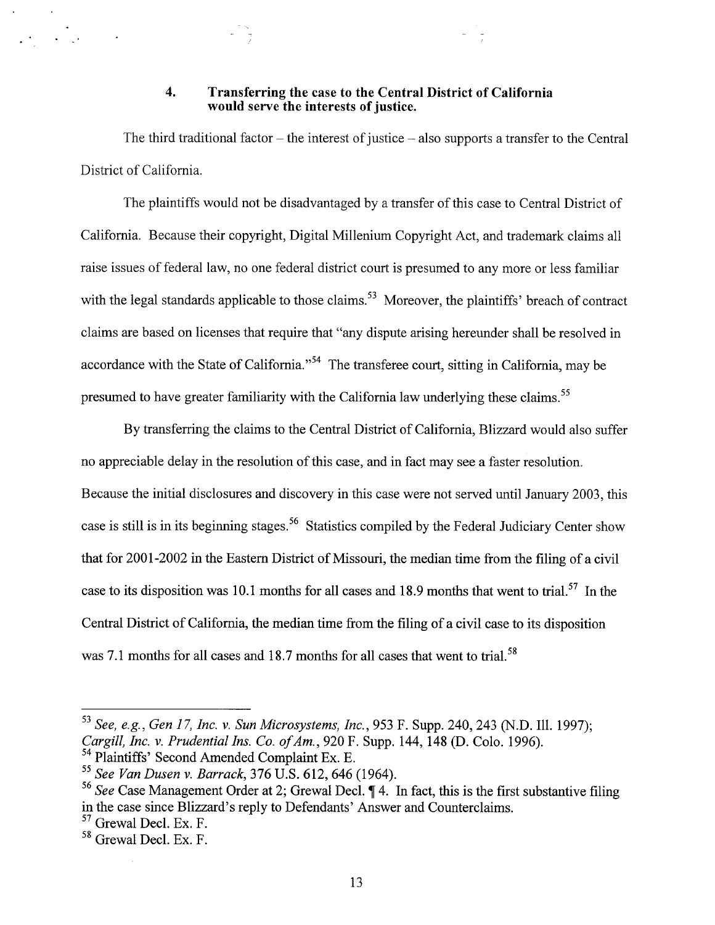#### 4. Transferring the case to the Central District of California would serve the interests of justice.

The third traditional factor  $-$  the interest of justice  $-$  also supports a transfer to the Central District of California.

The plaintiffs would not be disadvantaged by a transfer of this case to Central District of California. Because their copyright, Digital Millenium Copyright Act, and trademark claims all raise issues of federal law, no one federal district court is presumed to any more or less familiar with the legal standards applicable to those claims.<sup>53</sup> Moreover, the plaintiffs' breach of contract claims are based on licenses that require that "any dispute arising hereunder shall be resolved in accordance with the State of California."<sup>54</sup> The transferee court, sitting in California, may be presumed to have greater familiarity with the California law underlying these claims.<sup>35</sup>

By transferring the claims to the Central District of California, Blizzard would also suffer no appreciable delay in the resolution of this case, and in fact may see a faster resolution. Because the initial disclosures and discovery in this case were not served until January 2003, this case is still is in its beginning stages.<sup>56</sup> Statistics compiled by the Federal Judiciary Center show that for 2001-2002 in the Eastern District of Missouri, the median time from the filing of a civil case to its disposition was 10.1 months for all cases and 18.9 months that went to trial.<sup>57</sup> In the Central District of California, the median time from the filing of a civil case to its disposition was 7.1 months for all cases and 18.7 months for all cases that went to trial.<sup>58</sup>

<sup>53</sup> See, e.g., Gen 17, Inc. v. Sun Microsystems, Inc., 953 F. Supp. 240, 243 (N.D. Ill. 1997); Cargill, Inc. v. Prudential Ins. Co. of Am., 920 F. Supp. 144, 148 (D. Colo. 1996).

<sup>&</sup>lt;sup>54</sup> Plaintiffs' Second Amended Complaint Ex. E.

 $55$  See Van Dusen v. Barrack, 376 U.S. 612, 646 (1964).

<sup>&</sup>lt;sup>56</sup> See Case Management Order at 2; Grewal Decl.  $\P$  4. In fact, this is the first substantive filing in the case since Blizzard's reply to Defendants' Answer and Counterclaims .

 $57$  Grewal Decl. Ex. F.

 $58$  Grewal Decl. Ex. F.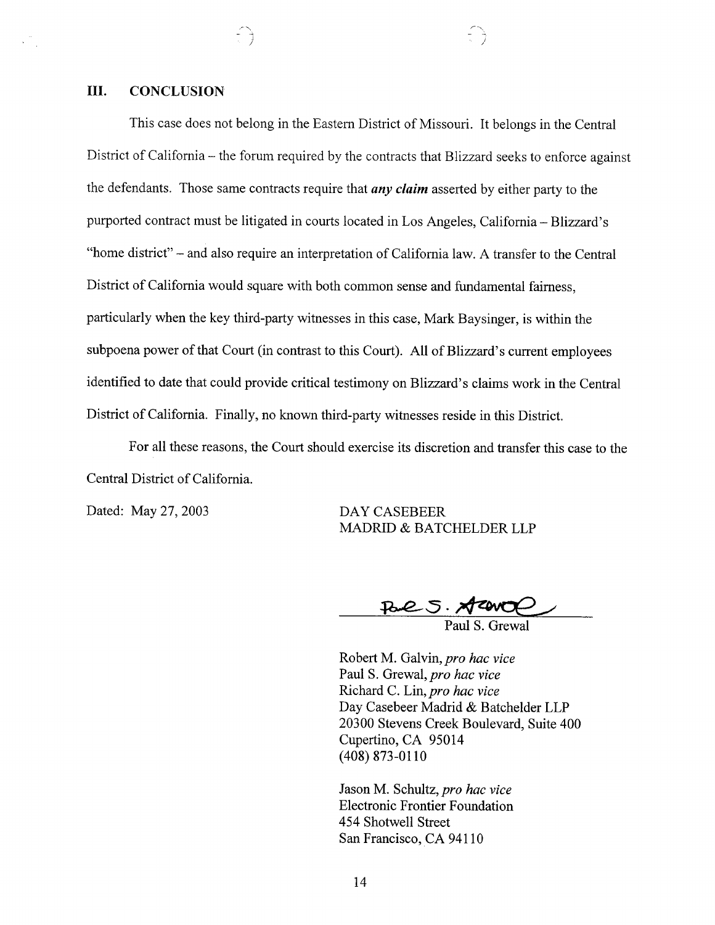# III. CONCLUSION

This case does not belong in the Eastern District of Missouri. It belongs in the Central District of California – the forum required by the contracts that Blizzard seeks to enforce against the defendants. Those same contracts require that  $any$  claim asserted by either party to the purported contract must be litigated in courts located in Los Angeles, California - Blizzard's "home district" - and also require an interpretation of California law . A transfer to the Central District of California would square with both common sense and fundamental fairness, particularly when the key third-party witnesses in this case, Mark Baysinger, is within the subpoena power of that Court (in contrast to this Court). All of Blizzard's current employees identified to date that could provide critical testimony on Blizzard's claims work in the Central District of California. Finally, no known third-party witnesses reside in this District.

For all these reasons, the Court should exercise its discretion and transfer this case to the Central District of California.

Dated: May 27, 2003

DAY CASEBEER MADRID & BATCHELDER LLP

Pare S. Areno

Paul S. Grewal

Robert M. Galvin, pro hac vice Paul S. Grewal, pro hac vice Richard C. Lin, pro hac vice Day Casebeer Madrid & Batchelder LLP 20300 Stevens Creek Boulevard, Suite 400 Cupertino, CA 95014 (408) 873-0110

Jason M. Schultz, pro hac vice Electronic Frontier Foundation 454 Shotwell Street San Francisco, CA 94110